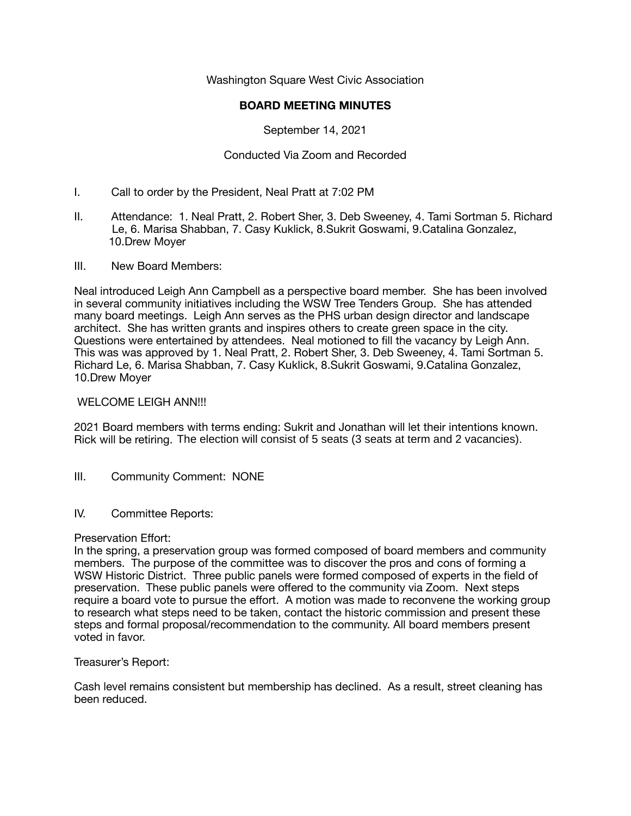Washington Square West Civic Association

## **BOARD MEETING MINUTES**

September 14, 2021

# Conducted Via Zoom and Recorded

- I. Call to order by the President, Neal Pratt at 7:02 PM
- II. Attendance: 1. Neal Pratt, 2. Robert Sher, 3. Deb Sweeney, 4. Tami Sortman 5. Richard Le, 6. Marisa Shabban, 7. Casy Kuklick, 8.Sukrit Goswami, 9.Catalina Gonzalez, 10.Drew Moyer
- III. New Board Members:

Neal introduced Leigh Ann Campbell as a perspective board member. She has been involved in several community initiatives including the WSW Tree Tenders Group. She has attended many board meetings. Leigh Ann serves as the PHS urban design director and landscape architect. She has written grants and inspires others to create green space in the city. Questions were entertained by attendees. Neal motioned to fill the vacancy by Leigh Ann. This was was approved by 1. Neal Pratt, 2. Robert Sher, 3. Deb Sweeney, 4. Tami Sortman 5. Richard Le, 6. Marisa Shabban, 7. Casy Kuklick, 8.Sukrit Goswami, 9.Catalina Gonzalez, 10.Drew Moyer

#### WELCOME LEIGH ANN!!!

2021 Board members with terms ending: Sukrit and Jonathan will let their intentions known. Rick will be retiring. The election will consist of 5 seats (3 seats at term and 2 vacancies).

- III. Community Comment: NONE
- IV. Committee Reports:

#### Preservation Effort:

In the spring, a preservation group was formed composed of board members and community members. The purpose of the committee was to discover the pros and cons of forming a WSW Historic District. Three public panels were formed composed of experts in the field of preservation. These public panels were offered to the community via Zoom. Next steps require a board vote to pursue the effort. A motion was made to reconvene the working group to research what steps need to be taken, contact the historic commission and present these steps and formal proposal/recommendation to the community. All board members present voted in favor.

#### Treasurer's Report:

Cash level remains consistent but membership has declined. As a result, street cleaning has been reduced.